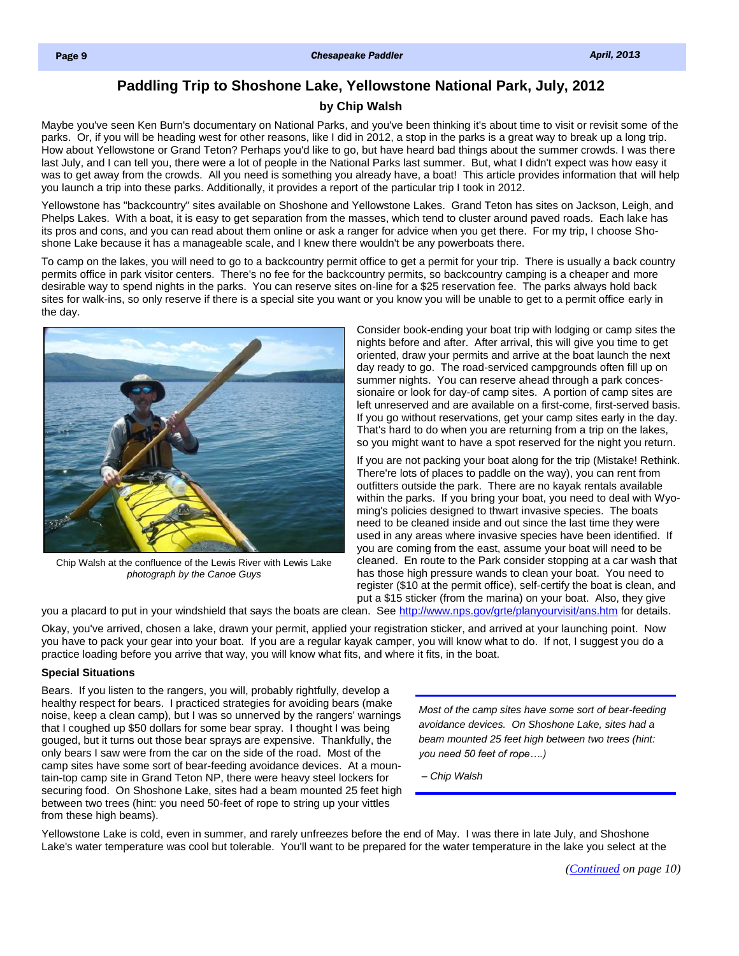# **Paddling Trip to Shoshone Lake, Yellowstone National Park, July, 2012**

## **by Chip Walsh**

<span id="page-0-0"></span>Maybe you've seen Ken Burn's documentary on National Parks, and you've been thinking it's about time to visit or revisit some of the parks. Or, if you will be heading west for other reasons, like I did in 2012, a stop in the parks is a great way to break up a long trip. How about Yellowstone or Grand Teton? Perhaps you'd like to go, but have heard bad things about the summer crowds. I was there last July, and I can tell you, there were a lot of people in the National Parks last summer. But, what I didn't expect was how easy it was to get away from the crowds. All you need is something you already have, a boat! This article provides information that will help you launch a trip into these parks. Additionally, it provides a report of the particular trip I took in 2012.

Yellowstone has "backcountry" sites available on Shoshone and Yellowstone Lakes. Grand Teton has sites on Jackson, Leigh, and Phelps Lakes. With a boat, it is easy to get separation from the masses, which tend to cluster around paved roads. Each lake has its pros and cons, and you can read about them online or ask a ranger for advice when you get there. For my trip, I choose Shoshone Lake because it has a manageable scale, and I knew there wouldn't be any powerboats there.

To camp on the lakes, you will need to go to a backcountry permit office to get a permit for your trip. There is usually a back country permits office in park visitor centers. There's no fee for the backcountry permits, so backcountry camping is a cheaper and more desirable way to spend nights in the parks. You can reserve sites on-line for a \$25 reservation fee. The parks always hold back sites for walk-ins, so only reserve if there is a special site you want or you know you will be unable to get to a permit office early in the day.



Chip Walsh at the confluence of the Lewis River with Lewis Lake *photograph by the Canoe Guys* 

Consider book-ending your boat trip with lodging or camp sites the nights before and after. After arrival, this will give you time to get oriented, draw your permits and arrive at the boat launch the next day ready to go. The road-serviced campgrounds often fill up on summer nights. You can reserve ahead through a park concessionaire or look for day-of camp sites. A portion of camp sites are left unreserved and are available on a first-come, first-served basis. If you go without reservations, get your camp sites early in the day. That's hard to do when you are returning from a trip on the lakes, so you might want to have a spot reserved for the night you return.

If you are not packing your boat along for the trip (Mistake! Rethink. There're lots of places to paddle on the way), you can rent from outfitters outside the park. There are no kayak rentals available within the parks. If you bring your boat, you need to deal with Wyoming's policies designed to thwart invasive species. The boats need to be cleaned inside and out since the last time they were used in any areas where invasive species have been identified. If you are coming from the east, assume your boat will need to be cleaned. En route to the Park consider stopping at a car wash that has those high pressure wands to clean your boat. You need to register (\$10 at the permit office), self-certify the boat is clean, and put a \$15 sticker (from the marina) on your boat. Also, they give

you a placard to put in your windshield that says the boats are clean. See <http://www.nps.gov/grte/planyourvisit/ans.htm> for details.

Okay, you've arrived, chosen a lake, drawn your permit, applied your registration sticker, and arrived at your launching point. Now you have to pack your gear into your boat. If you are a regular kayak camper, you will know what to do. If not, I suggest you do a practice loading before you arrive that way, you will know what fits, and where it fits, in the boat.

## **Special Situations**

Bears. If you listen to the rangers, you will, probably rightfully, develop a healthy respect for bears. I practiced strategies for avoiding bears (make noise, keep a clean camp), but I was so unnerved by the rangers' warnings that I coughed up \$50 dollars for some bear spray. I thought I was being gouged, but it turns out those bear sprays are expensive. Thankfully, the only bears I saw were from the car on the side of the road. Most of the camp sites have some sort of bear-feeding avoidance devices. At a mountain-top camp site in Grand Teton NP, there were heavy steel lockers for securing food. On Shoshone Lake, sites had a beam mounted 25 feet high between two trees (hint: you need 50-feet of rope to string up your vittles from these high beams).

*Most of the camp sites have some sort of bear-feeding avoidance devices. On Shoshone Lake, sites had a beam mounted 25 feet high between two trees (hint: you need 50 feet of rope….)*

*– Chip Walsh*

Yellowstone Lake is cold, even in summer, and rarely unfreezes before the end of May. I was there in late July, and Shoshone Lake's water temperature was cool but tolerable. You'll want to be prepared for the water temperature in the lake you select at the